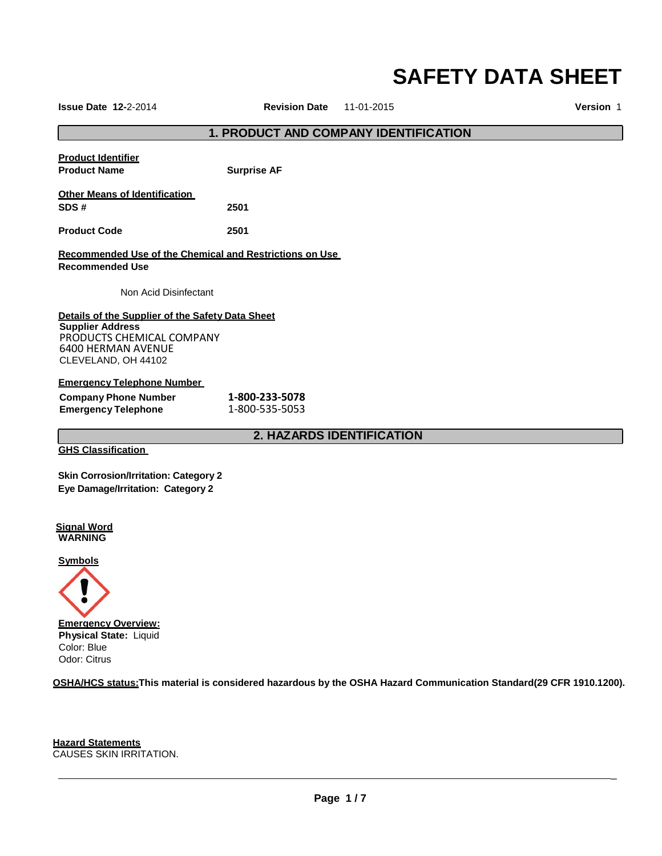# **SAFETY DATA SHEET**

**Issue Date 12-**2-2014 **Revision Date** 11-01-2015 **Version** 1

\_

# **1. PRODUCT AND COMPANY IDENTIFICATION**

| <b>Product Identifier</b><br><b>Product Name</b>                                                                                                             | <b>Surprise AF</b>               |
|--------------------------------------------------------------------------------------------------------------------------------------------------------------|----------------------------------|
| <b>Other Means of Identification</b><br>SDS#                                                                                                                 | 2501                             |
| <b>Product Code</b>                                                                                                                                          | 2501                             |
| <b>Recommended Use of the Chemical and Restrictions on Use</b><br><b>Recommended Use</b>                                                                     |                                  |
| Non Acid Disinfectant                                                                                                                                        |                                  |
| Details of the Supplier of the Safety Data Sheet<br><b>Supplier Address</b><br>PRODUCTS CHEMICAL COMPANY<br><b>6400 HERMAN AVENUE</b><br>CLEVELAND, OH 44102 |                                  |
| <b>Emergency Telephone Number</b>                                                                                                                            |                                  |
| <b>Company Phone Number</b>                                                                                                                                  | 1-800-233-5078                   |
| <b>Emergency Telephone</b>                                                                                                                                   | 1-800-535-5053                   |
|                                                                                                                                                              | <b>2. HAZARDS IDENTIFICATION</b> |

**GHS Classification**

**Skin Corrosion/Irritation: Category 2 Eye Damage/Irritation: Category 2**

**Signal Word WARNING**

**Symbols**



**OSHA/HCS status:This material is considered hazardous by the OSHA Hazard Communication Standard(29 CFR 1910.1200).**

**Hazard Statements** CAUSES SKIN IRRITATION.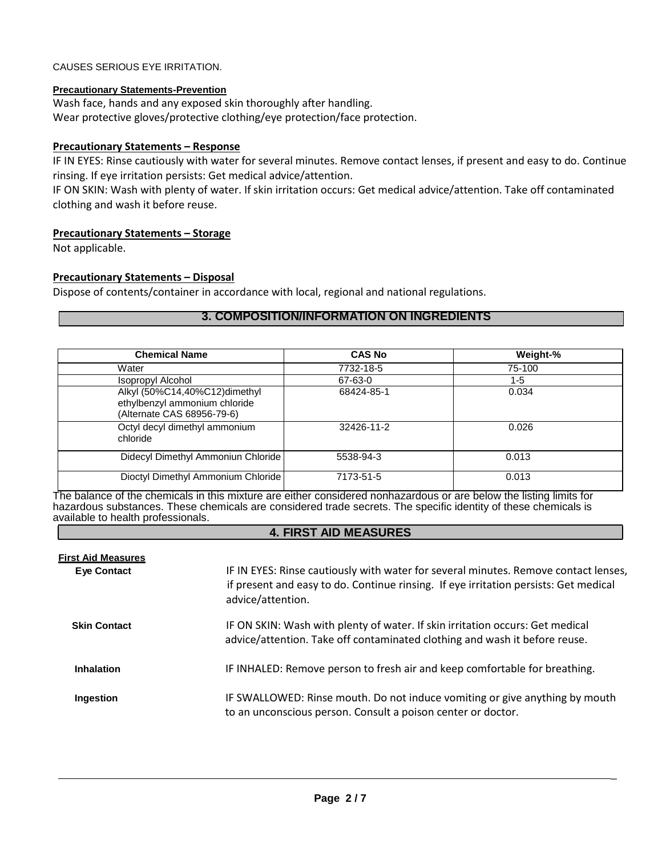# CAUSES SERIOUS EYE IRRITATION.

# **Precautionary Statements-Prevention**

Wash face, hands and any exposed skin thoroughly after handling. Wear protective gloves/protective clothing/eye protection/face protection.

# **Precautionary Statements – Response**

IF IN EYES: Rinse cautiously with water for several minutes. Remove contact lenses, if present and easy to do. Continue rinsing. If eye irritation persists: Get medical advice/attention.

IF ON SKIN: Wash with plenty of water. If skin irritation occurs: Get medical advice/attention. Take off contaminated clothing and wash it before reuse.

# **Precautionary Statements – Storage**

Not applicable.

# **Precautionary Statements – Disposal**

Dispose of contents/container in accordance with local, regional and national regulations.

# **3. COMPOSITION/INFORMATION ON INGREDIENTS**

| <b>Chemical Name</b>                                                                         | <b>CAS No</b> | Weight-% |
|----------------------------------------------------------------------------------------------|---------------|----------|
| Water                                                                                        | 7732-18-5     | 75-100   |
| <b>Isopropyl Alcohol</b>                                                                     | 67-63-0       | $1 - 5$  |
| Alkyl (50%C14,40%C12)dimethyl<br>ethylbenzyl ammonium chloride<br>(Alternate CAS 68956-79-6) | 68424-85-1    | 0.034    |
| Octyl decyl dimethyl ammonium<br>chloride                                                    | 32426-11-2    | 0.026    |
| Didecyl Dimethyl Ammoniun Chloride                                                           | 5538-94-3     | 0.013    |
| Dioctyl Dimethyl Ammonium Chloride                                                           | 7173-51-5     | 0.013    |

The balance of the chemicals in this mixture are either considered nonhazardous or are below the listing limits for hazardous substances. These chemicals are considered trade secrets. The specific identity of these chemicals is available to health professionals.

# **4. FIRST AID MEASURES**

| <b>First Aid Measures</b><br><b>Eye Contact</b> | IF IN EYES: Rinse cautiously with water for several minutes. Remove contact lenses,<br>if present and easy to do. Continue rinsing. If eye irritation persists: Get medical<br>advice/attention. |
|-------------------------------------------------|--------------------------------------------------------------------------------------------------------------------------------------------------------------------------------------------------|
| <b>Skin Contact</b>                             | IF ON SKIN: Wash with plenty of water. If skin irritation occurs: Get medical<br>advice/attention. Take off contaminated clothing and wash it before reuse.                                      |
| <b>Inhalation</b>                               | IF INHALED: Remove person to fresh air and keep comfortable for breathing.                                                                                                                       |
| Ingestion                                       | IF SWALLOWED: Rinse mouth. Do not induce vomiting or give anything by mouth<br>to an unconscious person. Consult a poison center or doctor.                                                      |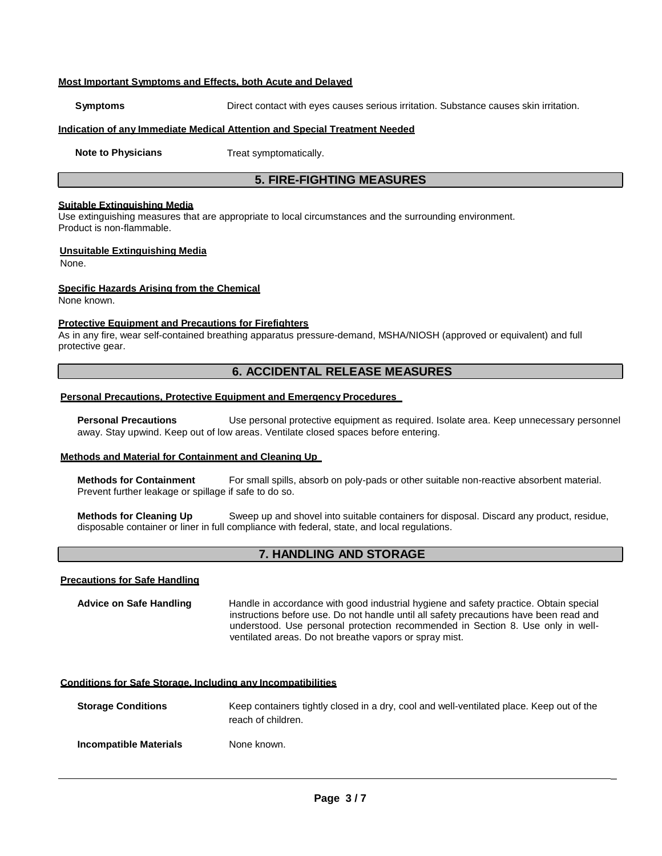#### **Most Important Symptoms and Effects, both Acute and Delayed**

**Symptoms** Direct contact with eyes causes serious irritation. Substance causes skin irritation.

#### **Indication of any Immediate Medical Attention and Special Treatment Needed**

**Note to Physicians** Treat symptomatically.

# **5. FIRE-FIGHTING MEASURES**

#### **Suitable Extinguishing Media**

Use extinguishing measures that are appropriate to local circumstances and the surrounding environment. Product is non-flammable.

#### **Unsuitable Extinguishing Media**

None.

#### **Specific Hazards Arising from the Chemical**

None known.

#### **Protective Equipment and Precautions for Firefighters**

As in any fire, wear self-contained breathing apparatus pressure-demand, MSHA/NIOSH (approved or equivalent) and full protective gear.

# **6. ACCIDENTAL RELEASE MEASURES**

# **Personal Precautions, Protective Equipment and Emergency Procedures**

**Personal Precautions** Use personal protective equipment as required. Isolate area. Keep unnecessary personnel away. Stay upwind. Keep out of low areas. Ventilate closed spaces before entering.

#### **Methods and Material for Containment and Cleaning Up**

**Methods for Containment** For small spills, absorb on poly-pads or other suitable non-reactive absorbent material. Prevent further leakage or spillage if safe to do so.

**Methods for Cleaning Up** Sweep up and shovel into suitable containers for disposal. Discard any product, residue, disposable container or liner in full compliance with federal, state, and local regulations.

# **7. HANDLING AND STORAGE**

#### **Precautions for Safe Handling**

**Advice on Safe Handling** Handle in accordance with good industrial hygiene and safety practice. Obtain special instructions before use. Do not handle until all safety precautions have been read and understood. Use personal protection recommended in Section 8. Use only in wellventilated areas. Do not breathe vapors or spray mist.

#### **Conditions for Safe Storage, Including any Incompatibilities**

**Storage Conditions** Keep containers tightly closed in a dry, cool and well-ventilated place. Keep out of the reach of children.

**Incompatible Materials** None known.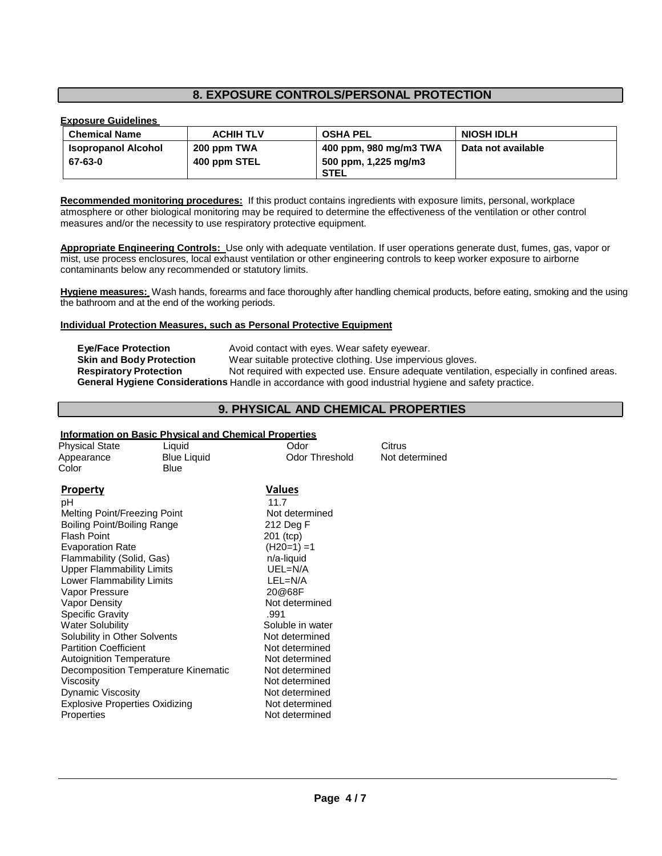# **8. EXPOSURE CONTROLS/PERSONAL PROTECTION**

# **Exposure Guidelines**

| <b>Chemical Name</b>       | <b>ACHIH TLV</b> | <b>OSHA PEL</b>        | <b>NIOSH IDLH</b>  |
|----------------------------|------------------|------------------------|--------------------|
| <b>Isopropanol Alcohol</b> | 200 ppm TWA      | 400 ppm, 980 mg/m3 TWA | Data not available |
| 67-63-0                    | 400 ppm STEL     | 500 ppm, 1,225 mg/m3   |                    |
|                            |                  | <b>STEL</b>            |                    |

**Recommended monitoring procedures:** If this product contains ingredients with exposure limits, personal, workplace atmosphere or other biological monitoring may be required to determine the effectiveness of the ventilation or other control measures and/or the necessity to use respiratory protective equipment.

**Appropriate Engineering Controls:** Use only with adequate ventilation. If user operations generate dust, fumes, gas, vapor or mist, use process enclosures, local exhaust ventilation or other engineering controls to keep worker exposure to airborne contaminants below any recommended or statutory limits.

**Hygiene measures:** Wash hands, forearms and face thoroughly after handling chemical products, before eating, smoking and the using the bathroom and at the end of the working periods.

#### **Individual Protection Measures, such as Personal Protective Equipment**

| <b>Eve/Face Protection</b>      | Avoid contact with eyes. Wear safety eyewear.                                                         |
|---------------------------------|-------------------------------------------------------------------------------------------------------|
| <b>Skin and Body Protection</b> | Wear suitable protective clothing. Use impervious gloves.                                             |
| <b>Respiratory Protection</b>   | Not required with expected use. Ensure adequate ventilation, especially in confined areas.            |
|                                 | General Hygiene Considerations Handle in accordance with good industrial hygiene and safety practice. |

# **9. PHYSICAL AND CHEMICAL PROPERTIES**

# **Information on Basic Physical and Chemical Properties**

| <b>Physical State</b><br>Appearance                                                                                                                                                                                                                                                                                                                                                                                                                                                                               | Liquid<br><b>Blue Liquid</b>        | Odor<br><b>Odor Threshold</b>                                                                                                                                                                                                                                                                                | Citrus<br>Not determined |
|-------------------------------------------------------------------------------------------------------------------------------------------------------------------------------------------------------------------------------------------------------------------------------------------------------------------------------------------------------------------------------------------------------------------------------------------------------------------------------------------------------------------|-------------------------------------|--------------------------------------------------------------------------------------------------------------------------------------------------------------------------------------------------------------------------------------------------------------------------------------------------------------|--------------------------|
| Color                                                                                                                                                                                                                                                                                                                                                                                                                                                                                                             | Blue                                |                                                                                                                                                                                                                                                                                                              |                          |
| <b>Property</b><br>рH<br>Melting Point/Freezing Point<br>Boiling Point/Boiling Range<br><b>Flash Point</b><br><b>Evaporation Rate</b><br>Flammability (Solid, Gas)<br><b>Upper Flammability Limits</b><br>Lower Flammability Limits<br>Vapor Pressure<br>Vapor Density<br><b>Specific Gravity</b><br><b>Water Solubility</b><br>Solubility in Other Solvents<br><b>Partition Coefficient</b><br><b>Autoignition Temperature</b><br>Viscosity<br><b>Dynamic Viscosity</b><br><b>Explosive Properties Oxidizing</b> | Decomposition Temperature Kinematic | <b>Values</b><br>11.7<br>Not determined<br>212 Deg F<br>201 (tcp)<br>$(H20=1) = 1$<br>n/a-liquid<br>UEL=N/A<br>LEL=N/A<br>20@68F<br>Not determined<br>.991<br>Soluble in water<br>Not determined<br>Not determined<br>Not determined<br>Not determined<br>Not determined<br>Not determined<br>Not determined |                          |
| Properties                                                                                                                                                                                                                                                                                                                                                                                                                                                                                                        |                                     | Not determined                                                                                                                                                                                                                                                                                               |                          |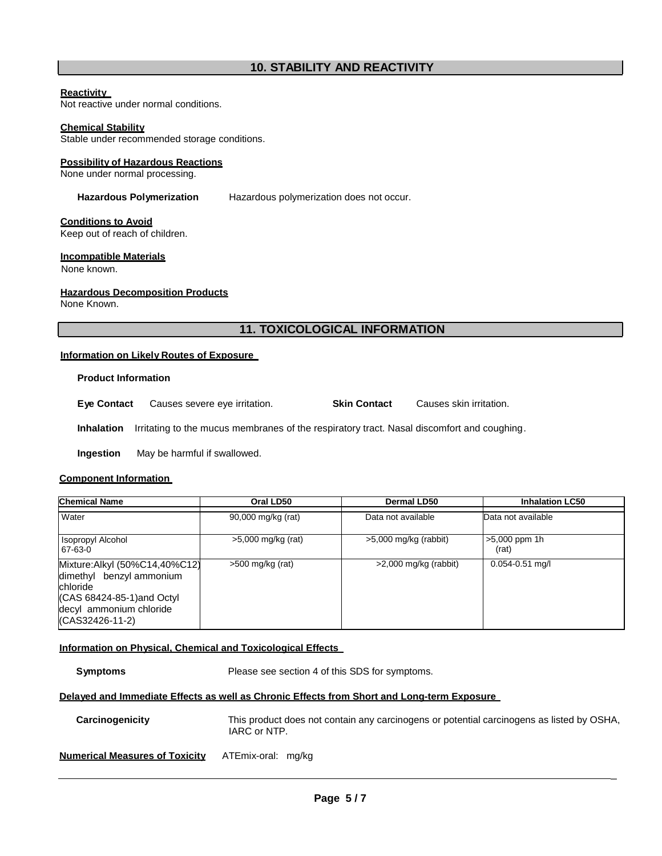#### **Reactivity**

Not reactive under normal conditions.

#### **Chemical Stability**

Stable under recommended storage conditions.

#### **Possibility of Hazardous Reactions**

None under normal processing.

**Hazardous Polymerization** Hazardous polymerization does not occur.

#### **Conditions to Avoid**

Keep out of reach of children.

#### **Incompatible Materials**

None known.

#### **Hazardous Decomposition Products**

None Known.

# **11. TOXICOLOGICAL INFORMATION**

#### **Information on Likely Routes of Exposure**

#### **Product Information**

**Eye Contact** Causes severe eye irritation. **Skin Contact** Causes skin irritation.

**Inhalation** Irritating to the mucus membranes of the respiratory tract. Nasal discomfort and coughing.

**Ingestion** May be harmful if swallowed.

#### **Component Information**

| <b>Chemical Name</b>                                                                                                                                   | Oral LD50          | <b>Dermal LD50</b>      | <b>Inhalation LC50</b>   |
|--------------------------------------------------------------------------------------------------------------------------------------------------------|--------------------|-------------------------|--------------------------|
| Water                                                                                                                                                  | 90,000 mg/kg (rat) | Data not available      | Data not available       |
| Isopropyl Alcohol<br>67-63-0                                                                                                                           | >5,000 mg/kg (rat) | $>5,000$ mg/kg (rabbit) | $>5,000$ ppm 1h<br>(rat) |
| Mixture: Alkyl (50%C14,40%C12)<br>dimethyl benzyl ammonium<br>chloride<br>$(CAS 68424-85-1)$ and Octyl<br>decyl ammonium chloride<br>$(CAS32426-11-2)$ | $>500$ mg/kg (rat) | $>2,000$ mg/kg (rabbit) | $0.054 - 0.51$ mg/l      |

#### **Information on Physical, Chemical and Toxicological Effects**

**Symptoms** Please see section 4 of this SDS for symptoms.

# **Delayed and Immediate Effects as well as Chronic Effects from Short and Long-term Exposure**

| Carcinogenicity                | This product does not contain any carcinogens or potential carcinogens as listed by OSHA,<br>IARC or NTP. |
|--------------------------------|-----------------------------------------------------------------------------------------------------------|
| Numerical Measures of Toxicity | ATEmix-oral: mg/kg                                                                                        |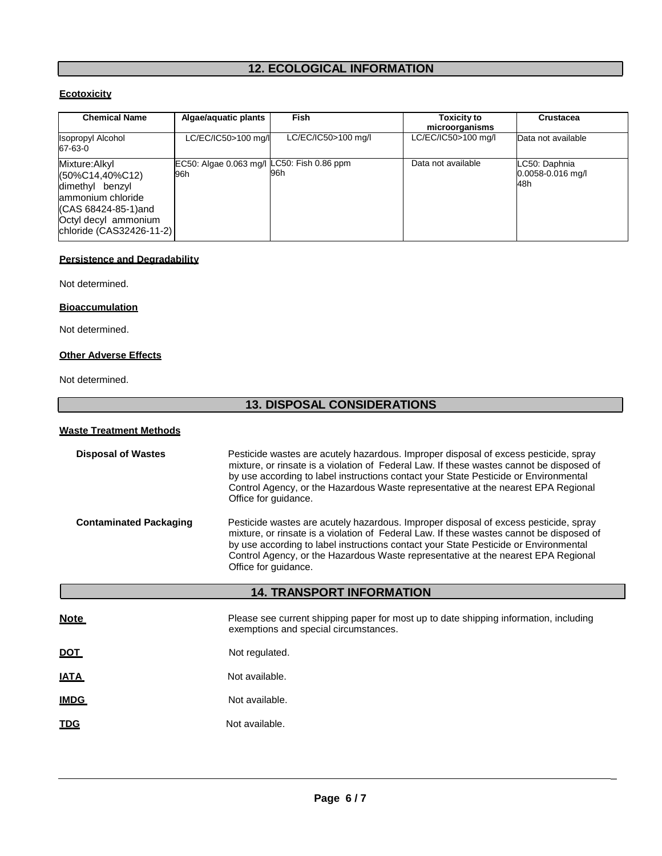# **12. ECOLOGICAL INFORMATION**

# **Ecotoxicity**

| <b>Chemical Name</b>                                                                                                                                 | Algae/aquatic plants                              | Fish                | <b>Toxicity to</b><br>microorganisms | <b>Crustacea</b>                          |
|------------------------------------------------------------------------------------------------------------------------------------------------------|---------------------------------------------------|---------------------|--------------------------------------|-------------------------------------------|
| <b>Isopropyl Alcohol</b><br>67-63-0                                                                                                                  | LC/EC/IC50>100 mg/l                               | LC/EC/IC50>100 mg/l | LC/EC/IC50>100 mg/l                  | Data not available                        |
| Mixture: Alkyl<br>(50%C14,40%C12)<br>dimethyl benzyl<br>ammonium chloride<br>(CAS 68424-85-1)and<br>Octyl decyl ammonium<br>chloride (CAS32426-11-2) | EC50: Algae 0.063 mg/l LC50: Fish 0.86 ppm<br>96h | 96h                 | Data not available                   | LC50: Daphnia<br>0.0058-0.016 mg/l<br>48h |

# **Persistence and Degradability**

Not determined.

# **Bioaccumulation**

Not determined.

# **Other Adverse Effects**

# Not determined.

# **13. DISPOSAL CONSIDERATIONS**

| <b>Waste Treatment Methods</b>                                                                                                                                                                                                                                                                                                                                                                                     |                                                                                                                                                                                                                                                                                                                                                                                       |  |  |
|--------------------------------------------------------------------------------------------------------------------------------------------------------------------------------------------------------------------------------------------------------------------------------------------------------------------------------------------------------------------------------------------------------------------|---------------------------------------------------------------------------------------------------------------------------------------------------------------------------------------------------------------------------------------------------------------------------------------------------------------------------------------------------------------------------------------|--|--|
| <b>Disposal of Wastes</b><br>Pesticide wastes are acutely hazardous. Improper disposal of excess pesticide, spray<br>mixture, or rinsate is a violation of Federal Law. If these wastes cannot be disposed of<br>by use according to label instructions contact your State Pesticide or Environmental<br>Control Agency, or the Hazardous Waste representative at the nearest EPA Regional<br>Office for guidance. |                                                                                                                                                                                                                                                                                                                                                                                       |  |  |
| <b>Contaminated Packaging</b>                                                                                                                                                                                                                                                                                                                                                                                      | Pesticide wastes are acutely hazardous. Improper disposal of excess pesticide, spray<br>mixture, or rinsate is a violation of Federal Law. If these wastes cannot be disposed of<br>by use according to label instructions contact your State Pesticide or Environmental<br>Control Agency, or the Hazardous Waste representative at the nearest EPA Regional<br>Office for guidance. |  |  |
| <b>14. TRANSPORT INFORMATION</b>                                                                                                                                                                                                                                                                                                                                                                                   |                                                                                                                                                                                                                                                                                                                                                                                       |  |  |
|                                                                                                                                                                                                                                                                                                                                                                                                                    |                                                                                                                                                                                                                                                                                                                                                                                       |  |  |
| <u>Note</u>                                                                                                                                                                                                                                                                                                                                                                                                        | Please see current shipping paper for most up to date shipping information, including<br>exemptions and special circumstances.                                                                                                                                                                                                                                                        |  |  |
| <u>DOT</u>                                                                                                                                                                                                                                                                                                                                                                                                         | Not regulated.                                                                                                                                                                                                                                                                                                                                                                        |  |  |
| <u>IATA</u>                                                                                                                                                                                                                                                                                                                                                                                                        | Not available.                                                                                                                                                                                                                                                                                                                                                                        |  |  |
| <u>IMDG</u>                                                                                                                                                                                                                                                                                                                                                                                                        | Not available.                                                                                                                                                                                                                                                                                                                                                                        |  |  |